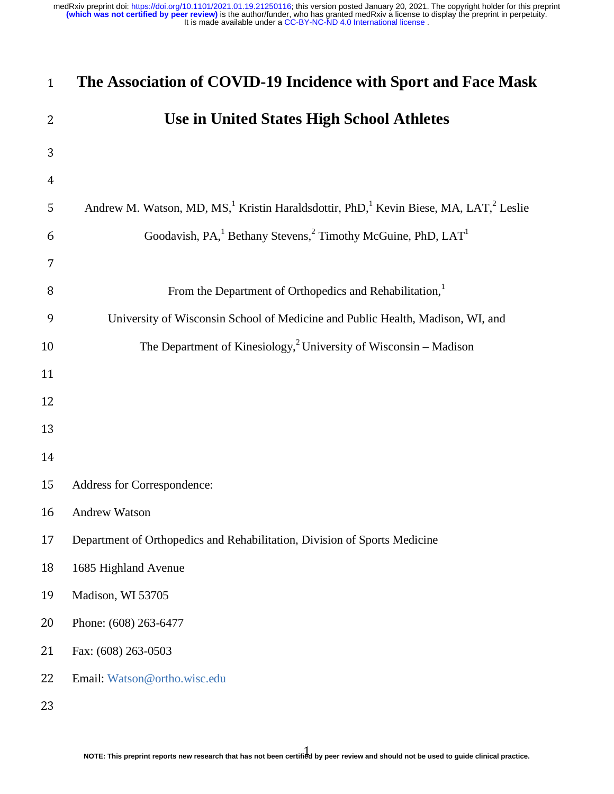| $\mathbf{1}$   | The Association of COVID-19 Incidence with Sport and Face Mask                                                                         |
|----------------|----------------------------------------------------------------------------------------------------------------------------------------|
| $\overline{2}$ | <b>Use in United States High School Athletes</b>                                                                                       |
| 3              |                                                                                                                                        |
| $\overline{4}$ |                                                                                                                                        |
| 5              | Andrew M. Watson, MD, MS, <sup>1</sup> Kristin Haraldsdottir, PhD, <sup>1</sup> Kevin Biese, MA, LAT, <sup>2</sup> Leslie              |
| 6              | Goodavish, PA, <sup>1</sup> Bethany Stevens, <sup>2</sup> Timothy McGuine, PhD, LAT <sup>1</sup>                                       |
| 7              |                                                                                                                                        |
| 8              | From the Department of Orthopedics and Rehabilitation, <sup>1</sup>                                                                    |
| 9              | University of Wisconsin School of Medicine and Public Health, Madison, WI, and                                                         |
| 10             | The Department of Kinesiology, <sup>2</sup> University of Wisconsin – Madison                                                          |
| 11             |                                                                                                                                        |
| 12             |                                                                                                                                        |
| 13             |                                                                                                                                        |
| 14             |                                                                                                                                        |
| 15             | Address for Correspondence:                                                                                                            |
| 16             | Andrew Watson                                                                                                                          |
| 17             | Department of Orthopedics and Rehabilitation, Division of Sports Medicine                                                              |
| 18             | 1685 Highland Avenue                                                                                                                   |
| 19             | Madison, WI 53705                                                                                                                      |
| 20             | Phone: (608) 263-6477                                                                                                                  |
| 21             | Fax: (608) 263-0503                                                                                                                    |
| 22             | Email: Watson@ortho.wisc.edu                                                                                                           |
| 23             |                                                                                                                                        |
|                | NOTE: This preprint reports new research that has not been certified by peer review and should not be used to guide clinical practice. |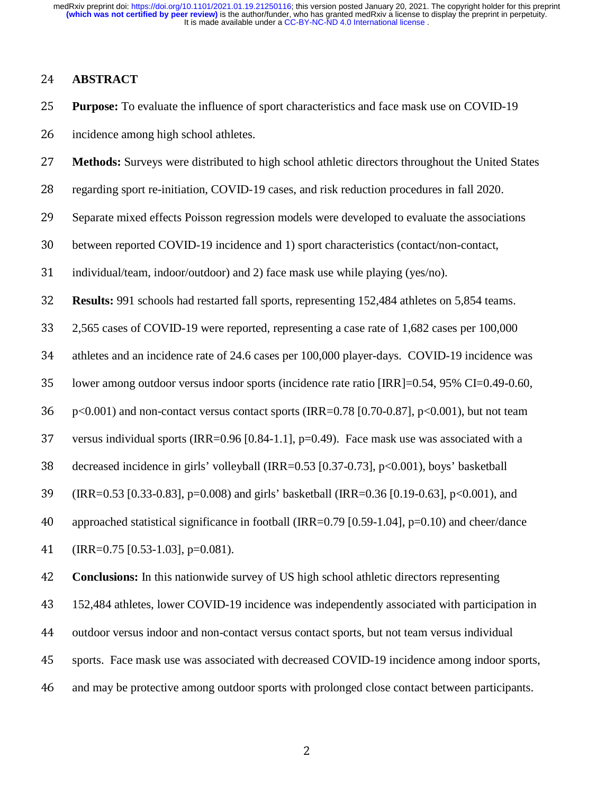4 ] i I st li ] c **ABSTRACT**<br>
25 **Purpose:** To e<br>
incidence amc<br>
27 **Methods:** Sur<br>
regarding spor<br>
29 Separate mixe<br>
30 between repor<br>
31 individual/tear<br>
32 **Results:** 991 s<br>
2,565 cases of<br>
34 athletes and are incidence among high school athletes.<br>
27 **Methods:** Surveys were distributed to<br>
28 regarding sport re-initiation, COVID-1<br>
29 Separate mixed effects Poisson regress<br>
20 between reported COVID-19 incidence<br>
individual/tea

- **Purpose:** To evaluate the influence of sport characteristics and face mask use on COVID-19<br>
incidence among high school athletes.<br> **27 Methods:** Surveys were distributed to high school athletic directors throughout the **Methods:** Surveys were distributed to high school athletic directors throughout the United States<br>regarding sport re-initiation, COVID-19 cases, and risk reduction procedures in fall 2020.<br>Separate mixed effects Poisson r
- 
- regarding sport re-initiation, COVID-19 cases, and risk reduction procedures in fall 2020.<br>
29 Separate mixed effects Poisson regression models were developed to evaluate the associat<br>
31 between reported COVID-19 incidenc
- 
- 
- 30 between reported COVID-19 incidence and 1) sport characteristics (contact/non-contact,<br>31 individual/team, indoor/outdoor) and 2) face mask use while playing (yes/no).<br>32 **Results:** 991 schools had restarted fall sports 31 individual/team, indoor/outdoor) and 2) face mask use while playing (yes/no).<br> **Results:** 991 schools had restarted fall sports, representing 152,484 athletes on<br>
2,565 cases of COVID-19 were reported, representing a c
- 

29 Separate mixed effects Poisson regression models were developed to evaluate the associations<br>
30 between reported COVID-19 incidence and 1) sport characteristics (contact/non-contact,<br>
31 individual/team, indoor/outdoo **Results:** 991 schools had restarted fall sports, representing 152,484 athletes on 5,854 teams.<br>
2,565 cases of COVID-19 were reported, representing a case rate of 1,682 cases per 100,000<br>
athletes and an incidence rate of 2,565 cases of COVID-19 were reported, representing a case rate of 1,682 cases per 100,000<br>
athletes and an incidence rate of 24.6 cases per 100,000 player-days. COVID-19 incidence w<br>
lower among outdoor versus indoor spo

- 
- 
- 
- 
- decreased incidence in girls' volleyball (IRR=0.53 [0.37-0.73], p<0.001), boys' basketball<br>
(IRR=0.53 [0.33-0.83], p=0.008) and girls' basketball (IRR=0.36 [0.19-0.63], p<0.001), an<br>
approached statistical significance in
- versus individual sports (IRR=0.96 [0.84-1.1], p=0.49). Face mask use was associated with a<br>decreased incidence in girls' volleyball (IRR=0.53 [0.37-0.73], p<0.001), boys' basketball<br>(IRR=0.53 [0.33-0.83], p=0.008) and gir (IRR=0.53 [0.33-0.83], p=0.008) and girls' basketball (IRR=0.36 [0.19-0.63], p<0.001), and<br>
approached statistical significance in football (IRR=0.79 [0.59-1.04], p=0.10) and cheer/danc<br>
(IRR=0.75 [0.53-1.03], p=0.081).<br>

41 (IRR=0.75 [0.53-1.03], p=0.081).<br>
42 **Conclusions:** In this nationwide s<br>
43 152,484 athletes, lower COVID-19<br>
44 outdoor versus indoor and non-cor<br>
5 sports. Face mask use was associand may be protective among outdoor

athletes and an incidence rate of 24.6 cases per 100,000 player-days. COVID-19 incidence was<br>
10000 per among outdoor versus indoor sports (incidence rate ratio [IRR]=0.54, 95% CI=0.49-0.60,<br>
136 p<0.001) and non-contact 35 lower among outdoor versus indoor sports (incidence rate ratio [IRR]=0.54, 95% CI=0.49-0.60,<br>
36 p<0.001) and non-contact versus contact sports (IRR=0.78 [0.70-0.87], p<0.001), but not team<br>
37 versus individual sports p<0.001) and non-contact versus contact sports (IRR=0.78 [0.70-0.87], p<0.001), but not team<br>versus individual sports (IRR=0.96 [0.84-1.1], p=0.49). Face mask use was associated with a<br>decreased incidence in girls' volleyb approached statistical significance in football (IRR=0.79 [0.59-1.04], p=0.10) and cheer/dance<br>
(IRR=0.75 [0.53-1.03], p=0.081).<br> **Conclusions:** In this nationwide survey of US high school athletic directors representing<br> 42 **Conclusions:** In this nationwide survey of US high school athletic directors representing<br>152,484 athletes, lower COVID-19 incidence was independently associated with participa<br>144 outdoor versus indoor and non-contact

152,484 athletes, lower COVID-19 incidence was independently associated with participation in<br>
44 outdoor versus indoor and non-contact versus contact sports, but not team versus individual<br>
45 sports. Face mask use was as 44 outdoor versus indoor and non-contact versus contact sports, but not team versus individual<br>45 sports. Face mask use was associated with decreased COVID-19 incidence among indoor sports<br>46 and may be protective among ou 45 sports. Face mask use was associated with decreased COVID-19 incidence among indoor sports,<br>46 and may be protective among outdoor sports with prolonged close contact between participants.<br>2

46 and may be protective among outdoor sports with prolonged close contact between participants.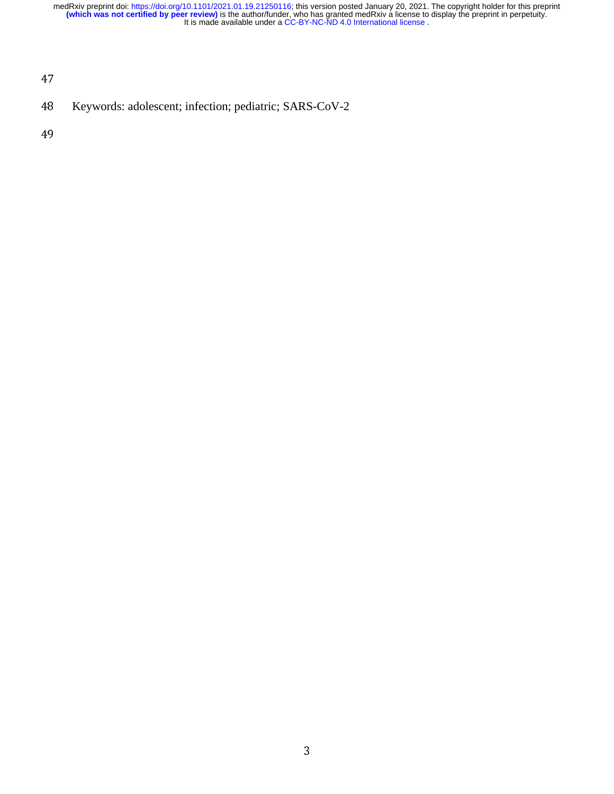47

 48<br>49 48 Keywords: adolescent; infection; pediatric; SARS-CoV-2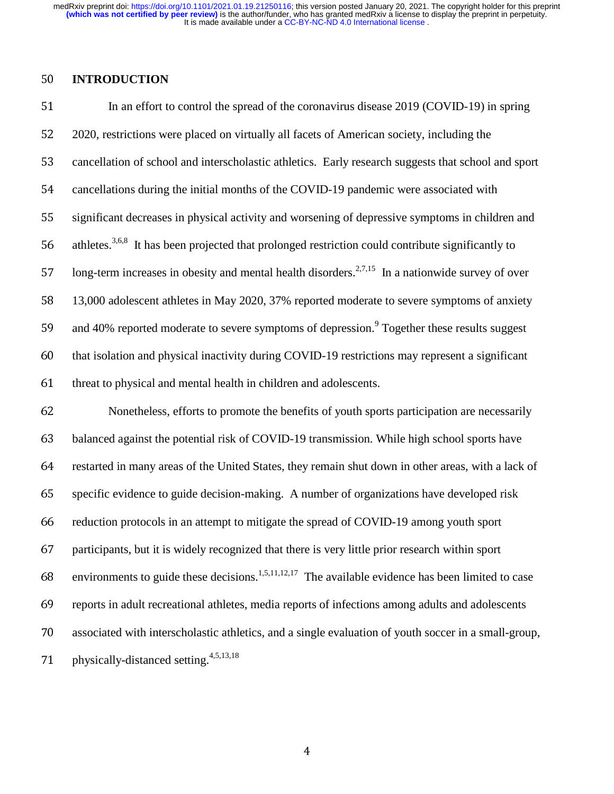$\begin{bmatrix} 2 & 3 \ 1 & 1 \end{bmatrix}$ 50 **INTRODUCTION**<br>51 In an effort to<br>52 2020, restrictions we<br>53 cancellation of schoor<br>54 cancellations during<br>55 significant decreases<br>56 athletes.<sup>3,6,8</sup> It has bo<br>57 long-term increases i<br>58 13,000 adolescent at<br>40% re 51 In an effort to control the spread of the coronavirus disease 2019 (COVID-19) in spring<br>52 2020, restrictions were placed on virtually all facets of American society, including the<br>55 cancellation of school and intersc 2020, restrictions were placed on virtually all facets of American society, including the<br>
cancellation of school and interscholastic athletics. Early research suggests that school<br>
cancellations during the initial months cancellation of school and interscholastic athletics. Early research suggests that school and sport<br>cancellations during the initial months of the COVID-19 pandemic were associated with<br>significant decreases in physical a cancellations during the initial months of the COVID-19 pandemic were associated with<br>significant decreases in physical activity and worsening of depressive symptoms in child<br>athletes.<sup>3,6,8</sup> It has been projected that pr significant decreases in physical activity and worsening of depressive symptoms in children and<br>athletes.<sup>3.63</sup> It has been projected that prolonged restriction could contribute significantly to<br>long-term increases in obe athletes.<sup>3,6,8</sup> It has been projected that prolonged restriction could contribute significantly to athletes.<sup>3,8,8</sup> It has been projected that prolonged restriction could contribute significantly to<br>
157 Iong-term increases in obesity and mental health disorders.<sup>2,7,15</sup> In a nationwide survey of ov<br>
13,000 adolescent long-term increases in obesity and mental health disorders.<sup>2,7,15</sup> In a nationwide survey of over and 40% reported moderate to severe symptoms of depression.<sup>9</sup> Together these results suggest

Iong-term increases in obesity and mental health disorders.<sup>2,1,13</sup> In a nationwide survey of over<br>13,000 adolescent athletes in May 2020, 37% reported moderate to severe symptoms of anxiety<br>and 40% reported moderate to se 13,000 adolescent athletes in May 2020, 37% reported moderate to severe symptoms of anxiety<br>
and 40% reported moderate to severe symptoms of depression.<sup>9</sup> Together these results suggest<br>
that isolation and physical inact and 40% reported moderate to severe symptoms of depression." Together these results suggest<br>that isolation and physical inactivity during COVID-19 restrictions may represent a significant<br>threat to physical and mental hea that isolation and physical inactivity during COVID-19 restrictions may represent a significant<br>
formulation through that in children and adolescents.<br>
Formulation are necessarily<br>
balanced against the potential risk of CO 61 threat to physical and mental health in children and adolescents.<br>
62 Nonetheless, efforts to promote the benefits of youth spot-<br>
64 balanced against the potential risk of COVID-19 transmission. We<br>
64 restarted in ma 62 Nonetheless, efforts to promote the benefits of youth sports participation are necessarily<br>
63 balanced against the potential risk of COVID-19 transmission. While high school sports have<br>
64 restarted in many areas of balanced against the potential risk of COVID-19 transmission. While high school sports have<br>restarted in many areas of the United States, they remain shut down in other areas, with a lack<br>specific evidence to guide decisi restarted in many areas of the United States, they remain shut down in other areas, with a lack of<br>specific evidence to guide decision-making. A number of organizations have developed risk<br>reduction protocols in an attemp specific evidence to guide decision-making. A number of organizations have developed risk<br>reduction protocols in an attempt to mitigate the spread of COVID-19 among youth sport<br>participants, but it is widely recognized th 66 reduction protocols in an attempt to mitigate the spread of COVID-19 among youth sport<br>
participants, but it is widely recognized that there is very little prior research within sport<br>
environments to guide these decis 67 participants, but it is widely recognized that there is very little prior research within sport<br>environments to guide these decisions.<sup>1,5,11,12,17</sup> The available evidence has been limited t<br>reports in adult recreation environments to guide these decisions.<sup>1,5,11,12,17</sup> The available evidence has been limited to case 68 environments to guide these decisions.<sup>1,5,11,12,17</sup> The available evidence has been limited to case<br>reports in adult recreational athletes, media reports of infections among adults and adolescents<br>associated with inte %69 reports in adult recreational athletes, media reports of infections among adults and adolescents<br>associated with interscholastic athletics, and a single evaluation of youth soccer in a small-group<br>physically-distanced 70 associated with interscholastic athletics, and a single evaluation of youth soccer in a small-group,<br>
71 physically-distanced setting.<sup>4,5,13,18</sup> physically-distanced setting.4,5,13,18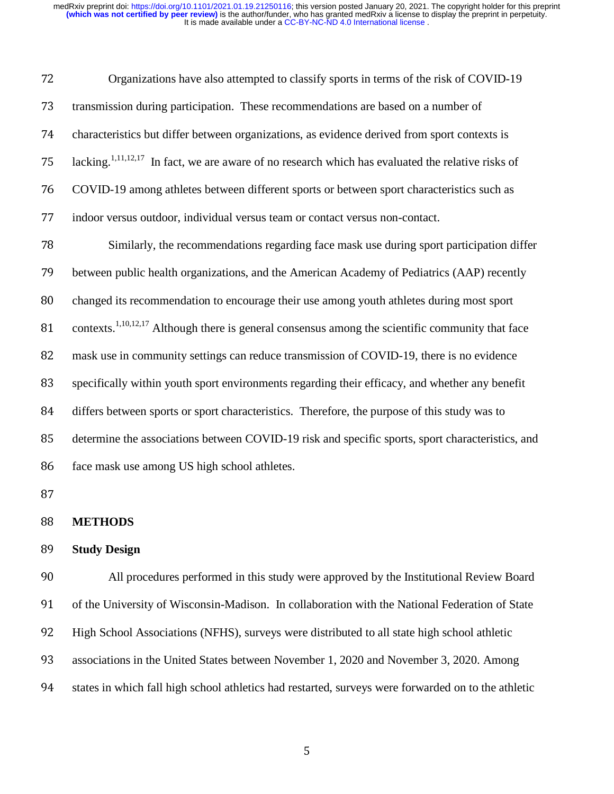| 72 | Organizations have also attempted to classify sports in terms of the risk of COVID-19                         |
|----|---------------------------------------------------------------------------------------------------------------|
| 73 | transmission during participation. These recommendations are based on a number of                             |
| 74 | characteristics but differ between organizations, as evidence derived from sport contexts is                  |
| 75 | lacking. <sup>1,11,12,17</sup> In fact, we are aware of no research which has evaluated the relative risks of |
| 76 | COVID-19 among athletes between different sports or between sport characteristics such as                     |
| 77 | indoor versus outdoor, individual versus team or contact versus non-contact.                                  |
| 78 | Similarly, the recommendations regarding face mask use during sport participation differ                      |
| 79 | between public health organizations, and the American Academy of Pediatrics (AAP) recently                    |
| 80 | changed its recommendation to encourage their use among youth athletes during most sport                      |
| 81 | contexts. <sup>1,10,12,17</sup> Although there is general consensus among the scientific community that face  |
| 82 | mask use in community settings can reduce transmission of COVID-19, there is no evidence                      |
| 83 | specifically within youth sport environments regarding their efficacy, and whether any benefit                |
| 84 | differs between sports or sport characteristics. Therefore, the purpose of this study was to                  |
| 85 | determine the associations between COVID-19 risk and specific sports, sport characteristics, and              |
| 86 | face mask use among US high school athletes.                                                                  |
| 87 |                                                                                                               |
| 88 | <b>METHODS</b>                                                                                                |
| 89 | <b>Study Design</b>                                                                                           |
| 90 | All procedures performed in this study were approved by the Institutional Review Board                        |
| 91 | of the University of Wisconsin-Madison. In collaboration with the National Federation of State                |
| 92 | High School Associations (NFHS), surveys were distributed to all state high school athletic                   |
| 93 | associations in the United States between November 1, 2020 and November 3, 2020. Among                        |
|    |                                                                                                               |

differs between sports or sport characteristics. Therefore, the purpose of this study was to<br>determine the associations between COVID-19 risk and specific sports, sport characteristic<br>face mask use among US high school ath determine the associations between COVID-19 risk and specific sports, sport characteristics, and<br>
86 face mask use among US high school athletes.<br>
87 **METHODS**<br>
89 **Study Design**<br>
41 procedures performed in this study were Face mask use among US high school athletes.<br>
87<br> **METHODS**<br>
89 **Study Design**<br>
All procedures performed in this study<br>
91 of the University of Wisconsin-Madison. In cc<br>
192 High School Associations (NFHS), surveys we<br>
89 88<br>89 90<br>91 92<br>93 94 **METHODS**<br>
89 **Study Design<br>
90** All pr<br>
91 of the Univer<br>
92 High School<br>
89 associations i<br>
84 states in whic 89 **Study Design**<br>90 All pro<br>91 of the Universi<br>92 High School A<br>83 associations in<br>94 states in which 90 All procedures performed in this study were approved by the Institutional Review Board<br>91 of the University of Wisconsin-Madison. In collaboration with the National Federation of State<br>92 High School Associations (NFHS) 91 of the University of Wisconsin-Madison. In collaboration with the National Federation of State<br>
92 High School Associations (NFHS), surveys were distributed to all state high school athletic<br>
93 associations in the Unit 92 High School Associations (NFHS), surveys were distributed to all state high school athletic<br>33 associations in the United States between November 1, 2020 and November 3, 2020. Among<br>5 93 associations in the United States between November 1, 2020 and November 3, 2020. Among<br>94 states in which fall high school athletics had restarted, surveys were forwarded on to the athle<br>95 94 states in which fall high school athletics had restarted, surveys were forwarded on to the athletic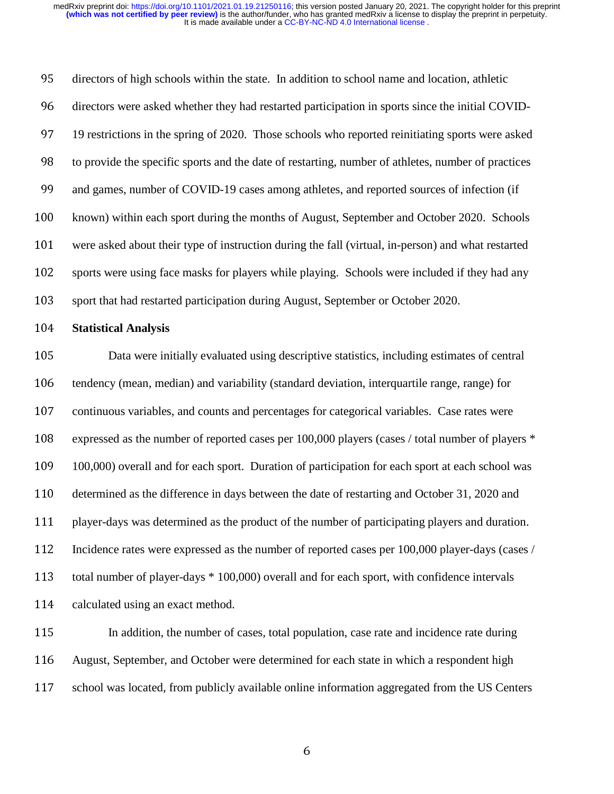cccitedly secured directors of high schools within the state. In addition to school name and location, athletic<br>directors were asked whether they had restarted participation in sports since the initial COV<br>19 restrictions in the spring of 2 directors were asked whether they had restarted participation in sports since the initial COVID-19 restrictions in the spring of 2020. Those schools who reported reinitiating sports were asked to provide the specific sport 19 restrictions in the spring of 2020. Those schools who reported reinitiating sports were asked<br>
19 provide the specific sports and the date of restarting, number of athletes, number of practices<br>
29 and games, number of to provide the specific sports and the date of restarting, number of athletes, number of practices<br>
and games, number of COVID-19 cases among athletes, and reported sources of infection (if<br>
known) within each sport during

and games, number of COVID-19 cases among athletes, and reported sources of infection (if<br>
Rown) within each sport during the months of August, September and October 2020. Schoo<br>
were asked about their type of instruction known) within each sport during the months of August, September and October 2020. Schools<br>were asked about their type of instruction during the fall (virtual, in-person) and what restarted<br>sports were using face masks for were asked about their type of instruction during the fall (virtual, in-person) and what restarted<br>sports were using face masks for players while playing. Schools were included if they had any<br>sport that had restarted part sports were using face masks for players while playing. Schools were included if they had any<br>103 sport that had restarted participation during August, September or October 2020.<br>104 **Statistical Analysis**<br>105 Data were in 103 sport that had restarted participation during August, September or October 2020.<br>
104 **Statistical Analysis**<br>
105 Data were initially evaluated using descriptive statistics, including estima<br>
106 tendency (mean, median **Statistical Analysis**<br>105 Data were ini<br>106 tendency (mean, mec<br>107 continuous variables<br>2108 expressed as the num<br>109 100,000) overall and<br>110 determined as the dif<br>111 player-days was dete<br>112 Incidence rates were<br>113 t Data were initially evaluated using descriptive statistics, including estimates of central<br>106 tendency (mean, median) and variability (standard deviation, interquartile range, range) for<br>2017 continuous variables, and cou tendency (mean, median) and variability (standard deviation, interquartile range, range) for<br>
107 continuous variables, and counts and percentages for categorical variables. Case rates were<br>
108 expressed as the number of continuous variables, and counts and percentages for categorical variables. Case rates were<br>
108 expressed as the number of reported cases per 100,000 players (cases / total number of playe<br>
100,000) overall and for each s expressed as the number of reported cases per 100,000 players (cases / total number of players \* 109,000) overall and for each sport. Duration of participation for each sport at each school was determined as the difference 109,000) overall and for each sport. Duration of participation for each sport at each school was<br>
110 determined as the difference in days between the date of restarting and October 31, 2020 and<br>
111 player-days was determ determined as the difference in days between the date of restarting and October 31, 2020 and<br>
111 player-days was determined as the product of the number of participating players and duration<br>
112 Incidence rates were expr 111 player-days was determined as the product of the number of participating players and duration.<br>
112 Incidence rates were expressed as the number of reported cases per 100,000 player-days (cases.<br>
113 total number of pl 112 Incidence rates were expressed as the number of reported cases per 100,000 player-days (cases / total number of player-days \* 100,000) overall and for each sport, with confidence intervals<br>114 calculated using an exact

total number of player-days \* 100,000) overall and for each sport, with confidence intervals<br>
calculated using an exact method.<br>
In addition, the number of cases, total population, case rate and incidence rate during<br>
Augu 114 calculated using an exact method.<br>
115 In addition, the number of<br>
116 August, September, and October w<br>
117 school was located, from publicly 115 In addition, the number of cases, total population, case rate and incidence rate during<br>
116 August, September, and October were determined for each state in which a respondent high<br>
117 school was located, from public 116 August, September, and October were determined for each state in which a respondent high<br>117 school was located, from publicly available online information aggregated from the US Cent<br>117 6 117 school was located, from publicly available online information aggregated from the US Centers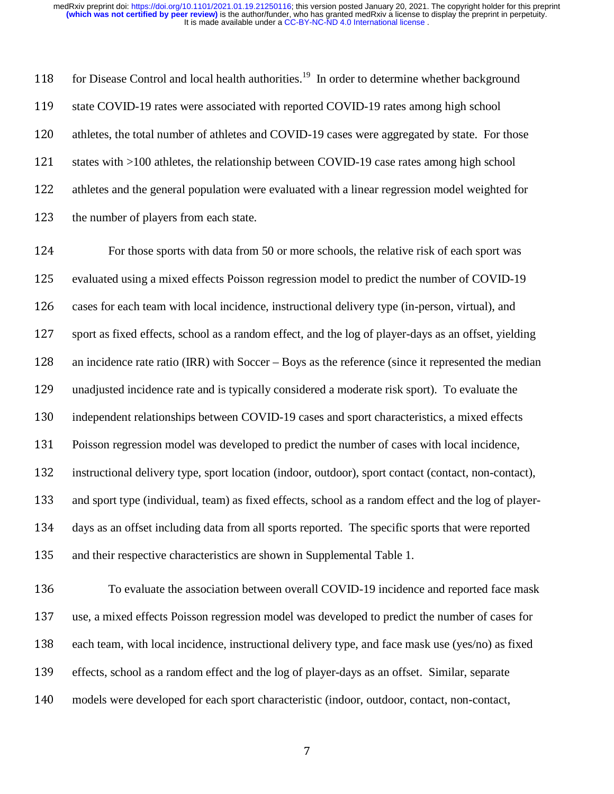f sa sa t e c for Disease Control and local health authorities.<sup>19</sup> In order to determine whether background 118 for Disease Control and local health authorities.<sup>19</sup> In order to determine whether background<br>119 state COVID-19 rates were associated with reported COVID-19 rates among high school<br>120 athletes, the total number of a

119 state COVID-19 rates were associated with reported COVID-19 rates among high school<br>120 athletes, the total number of athletes and COVID-19 cases were aggregated by state. For<br>121 states with >100 athletes, the relatio athletes, the total number of athletes and COVID-19 cases were aggregated by state. For those<br>states with >100 athletes, the relationship between COVID-19 case rates among high school<br>athletes and the general population we 121 states with >100 athletes, the relationship between COVID-19 case rates among high school<br>122 athletes and the general population were evaluated with a linear regression model weighted f<br>123 the number of players from athletes and the general population were evaluated with a linear regression model weighted for<br>
123 the number of players from each state.<br>
124 For those sports with data from 50 or more schools, the relative risk of each the number of players from each state.<br>124 For those sports with data from<br>125 evaluated using a mixed effects Poisson<br>126 cases for each team with local incidenc<br>127 sport as fixed effects, school as a rando<br>128 an incide For those sports with data from 50 or more schools, the relative risk of each sport was<br>
125 evaluated using a mixed effects Poisson regression model to predict the number of COVID-15<br>
126 cases for each team with local in 125 evaluated using a mixed effects Poisson regression model to predict the number of COVID-19 cases for each team with local incidence, instructional delivery type (in-person, virtual), and sport as fixed effects, school cases for each team with local incidence, instructional delivery type (in-person, virtual), and<br>127 sport as fixed effects, school as a random effect, and the log of player-days as an offset, yield<br>128 an incidence rate ra 127 sport as fixed effects, school as a random effect, and the log of player-days as an offset, yielding<br>128 an incidence rate ratio (IRR) with Soccer – Boys as the reference (since it represented the mediar<br>129 unadjusted an incidence rate ratio (IRR) with Soccer – Boys as the reference (since it represented the median<br>129 unadjusted incidence rate and is typically considered a moderate risk sport). To evaluate the<br>130 independent relations 029 unadjusted incidence rate and is typically considered a moderate risk sport). To evaluate the<br>
130 independent relationships between COVID-19 cases and sport characteristics, a mixed effects<br>
131 Poisson regression mod independent relationships between COVID-19 cases and sport characteristics, a mixed effects<br>
131 Poisson regression model was developed to predict the number of cases with local incidence,<br>
132 instructional delivery type, 131 Poisson regression model was developed to predict the number of cases with local incidence,<br>
132 instructional delivery type, sport location (indoor, outdoor), sport contact (contact, non-conta<br>
133 and sport type (ind

instructional delivery type, sport location (indoor, outdoor), sport contact (contact, non-contact),<br>and sport type (individual, team) as fixed effects, school as a random effect and the log of player-<br>days as an offset in 133 and sport type (individual, team) as fixed effects, school as a random effect and the log of player-<br>
134 day as an offset including data from all sports reported. The specific sports that were reported<br>
135 and their 134 days as an offset including data from all sports reported. The specific sports that were reported<br>
135 and their respective characteristics are shown in Supplemental Table 1.<br>
136 To evaluate the association between ov and their respective characteristics are shown in Supplemental Table 1.<br>
To evaluate the association between overall COVID-19 incident<br>
use, a mixed effects Poisson regression model was developed to predict<br>
each team, wit 136 To evaluate the association between overall COVID-19 incidence and reported face mask<br>137 use, a mixed effects Poisson regression model was developed to predict the number of cases for<br>138 each team, with local inciden 137 use, a mixed effects Poisson regression model was developed to predict the number of cases for each team, with local incidence, instructional delivery type, and face mask use (yes/no) as fixed effects, school as a rand each team, with local incidence, instructional delivery type, and face mask use (yes/no) as fixed<br>effects, school as a random effect and the log of player-days as an offset. Similar, separate<br>models were developed for each 139 effects, school as a random effect and the log of player-days as an offset. Similar, separate<br>
140 models were developed for each sport characteristic (indoor, outdoor, contact, non-contact,<br>
17 140 models were developed for each sport characteristic (indoor, outdoor, contact, non-contact,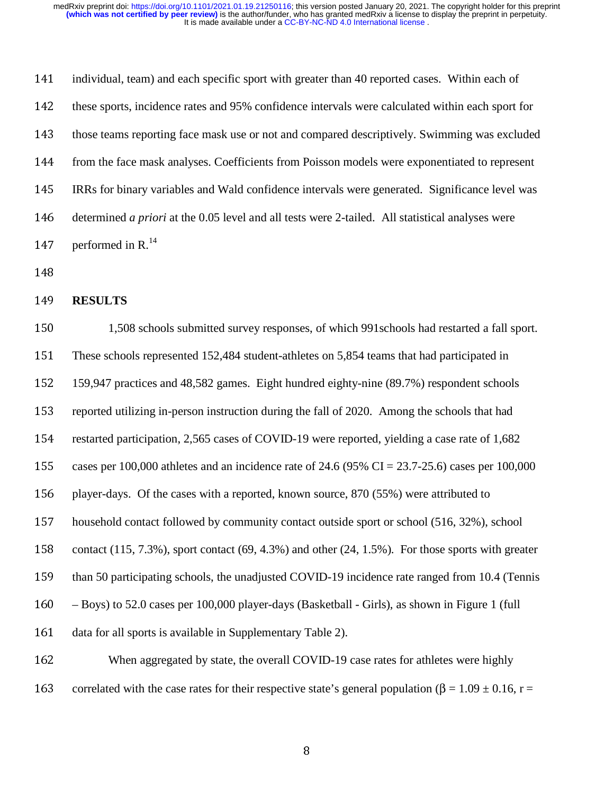| 141 | individual, team) and each specific sport with greater than 40 reported cases. Within each of           |
|-----|---------------------------------------------------------------------------------------------------------|
| 142 | these sports, incidence rates and 95% confidence intervals were calculated within each sport for        |
| 143 | those teams reporting face mask use or not and compared descriptively. Swimming was excluded            |
| 144 | from the face mask analyses. Coefficients from Poisson models were exponentiated to represent           |
| 145 | IRRs for binary variables and Wald confidence intervals were generated. Significance level was          |
| 146 | determined <i>a priori</i> at the 0.05 level and all tests were 2-tailed. All statistical analyses were |
| 147 | performed in R. $^{14}$                                                                                 |
| 148 |                                                                                                         |
| 149 | <b>RESULTS</b>                                                                                          |
| 150 | 1,508 schools submitted survey responses, of which 991 schools had restarted a fall sport.              |
| 151 | These schools represented 152,484 student-athletes on 5,854 teams that had participated in              |
| 152 | 159,947 practices and 48,582 games. Eight hundred eighty-nine (89.7%) respondent schools                |
| 153 | reported utilizing in-person instruction during the fall of 2020. Among the schools that had            |
|     |                                                                                                         |

144 from the face mask analyses. Coefficients from Poisson models were exponentiated to represent<br>145 IRRs for binary variables and Wald confidence intervals were generated. Significance level was<br>146 determined *a priori* 145 IRRs for binary variables and Wald confidence intervals were generated. Significance level was<br>
146 determined *a priori* at the 0.05 level and all tests were 2-tailed. All statistical analyses were<br>
147 performed in 146 determined *a priori* at the 0.05 level and all tests were 2-tailed. All statistical analyses were<br>
147 performed in R.<sup>14</sup><br>
148 **RESULTS**<br>
1,508 schools submitted survey responses, of which 991 schools had restarted a 148<br>149<br>150<br>151<br>152<br>153<br>154<br>155<br>156<br>157 149<br>150<br>151<br>152<br>153<br>154<br>155<br>156<br>157<br>158 **RESULTS**<br>150 1,50<br>151 These schood<br>152 159,947 pra<br>153 reported util<br>154 restarted para<br>155 cases per 10<br>156 player-days.<br>157 household c<br>158 contact (115<br>than 50 part 150 1,508 schools submitted survey responses, of which 991 schools had restarted a fall sport.<br>
152 159,947 practices and 48,582 games. Eight hundred eighty-nine (89.7%) respondent schools<br>
159,947 practices and 48,582 gam 151 These schools represented 152,484 student-athletes on 5,854 teams that had participated in<br>152 159,947 practices and 48,582 games. Eight hundred eighty-nine (89.7%) respondent school<br>153 reported utilizing in-person i 152 159,947 practices and 48,582 games. Eight hundred eighty-nine (89.7%) respondent schools<br>
153 reported utilizing in-person instruction during the fall of 2020. Among the schools that had<br>
154 restarted participation, 153 reported utilizing in-person instruction during the fall of 2020. Among the schools that had<br>154 restarted participation, 2,565 cases of COVID-19 were reported, yielding a case rate of 1,68<br>155 cases per 100,000 athl 154 restarted participation, 2,565 cases of COVID-19 were reported, yielding a case rate of 1,682 cases per 100,000 athletes and an incidence rate of 24.6 (95% CI = 23.7-25.6) cases per 100,0<br>
player-days. Of the cases wi 155 cases per 100,000 athletes and an incidence rate of 24.6 (95% CI = 23.7-25.6) cases per 100,000<br>156 player-days. Of the cases with a reported, known source, 870 (55%) were attributed to<br>157 household contact followed 156 player-days. Of the cases with a reported, known source, 870 (55%) were attributed to household contact followed by community contact outside sport or school (516, 32%), contact (115, 7.3%), sport contact (69, 4.3%) 157 household contact followed by community contact outside sport or school (516, 32%), school<br>
158 contact (115, 7.3%), sport contact (69, 4.3%) and other (24, 1.5%). For those sports with grea<br>
169 than 50 participatin 158 contact (115, 7.3%), sport contact (69, 4.3%) and other (24, 1.5%). For those sports with greater<br>
160 contact than 50 participating schools, the unadjusted COVID-19 incidence rate ranged from 10.4 (Tennis<br>
160 - Boys 159 than 50 participating schools, the unadjusted COVID-19 incidence rate ranged from 10.4 (Tennis<br>
160 - Boys) to 52.0 cases per 100,000 player-days (Basketball - Girls), as shown in Figure 1 (full<br>
161 data for all spo 160 – Boys) to 52.0 cases per 100,000 player-days (Basketball - Girls), as shown in Figure 1 (full<br>161 data for all sports is available in Supplementary Table 2).<br>162 When aggregated by state, the overall COVID-19 case r data for all sports is available in Supplementary Table 2).<br>162 When aggregated by state, the overall COVID-19<br>163 correlated with the case rates for their respective state's ge<br>8 162 When aggregated by state, the overall COVID-19 case rates for athletes were highly<br>
163 correlated with the case rates for their respective state's general population ( $\beta = 1.09 \pm 0.16$ ,<br>
163

163 correlated with the case rates for their respective state's general population (β = 1.09 ± 0.16, r =  $\frac{8}{3}$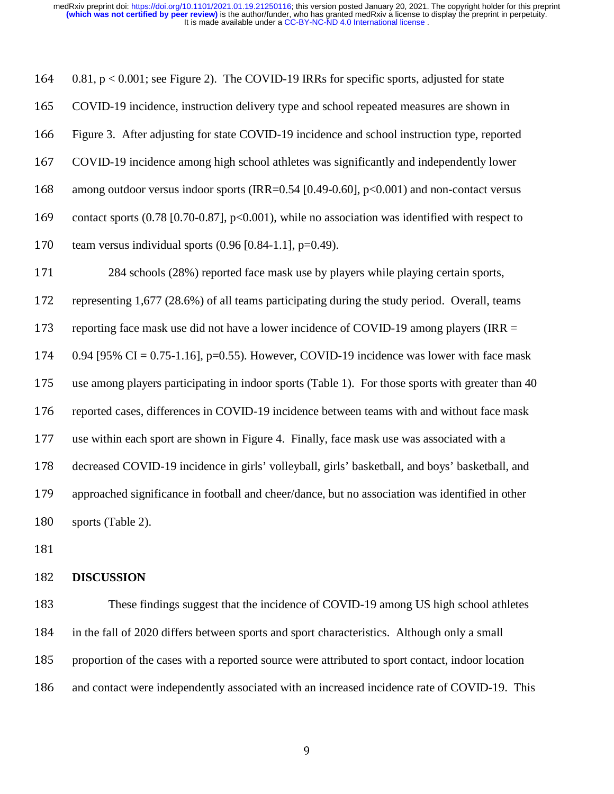| 164 | $0.81$ , $p < 0.001$ ; see Figure 2). The COVID-19 IRRs for specific sports, adjusted for state   |
|-----|---------------------------------------------------------------------------------------------------|
| 165 | COVID-19 incidence, instruction delivery type and school repeated measures are shown in           |
| 166 | Figure 3. After adjusting for state COVID-19 incidence and school instruction type, reported      |
| 167 | COVID-19 incidence among high school athletes was significantly and independently lower           |
| 168 | among outdoor versus indoor sports (IRR= $0.54$ [0.49-0.60], p<0.001) and non-contact versus      |
| 169 | contact sports (0.78 [0.70-0.87], p<0.001), while no association was identified with respect to   |
| 170 | team versus individual sports $(0.96 \, [0.84-1.1], p=0.49)$ .                                    |
| 171 | 284 schools (28%) reported face mask use by players while playing certain sports,                 |
| 172 | representing 1,677 (28.6%) of all teams participating during the study period. Overall, teams     |
| 173 | reporting face mask use did not have a lower incidence of COVID-19 among players (IRR $=$         |
| 174 | 0.94 [95% CI = 0.75-1.16], p=0.55). However, COVID-19 incidence was lower with face mask          |
| 175 | use among players participating in indoor sports (Table 1). For those sports with greater than 40 |
| 176 | reported cases, differences in COVID-19 incidence between teams with and without face mask        |
| 177 | use within each sport are shown in Figure 4. Finally, face mask use was associated with a         |
| 178 | decreased COVID-19 incidence in girls' volleyball, girls' basketball, and boys' basketball, and   |
| 179 | approached significance in football and cheer/dance, but no association was identified in other   |
| 180 | sports (Table 2).                                                                                 |
| 181 |                                                                                                   |
| 182 | <b>DISCUSSION</b>                                                                                 |
| 183 | These findings suggest that the incidence of COVID-19 among US high school athletes               |
| 184 | in the fall of 2020 differs between sports and sport characteristics. Although only a small       |
| 185 | proportion of the cases with a reported source were attributed to sport contact, indoor location  |
| 186 | and contact were independently associated with an increased incidence rate of COVID-19. This      |
|     |                                                                                                   |
|     |                                                                                                   |

decreased COVID-19 incidence in girls' volleyball, girls' basketball, and boys' basketball, and<br>
179 approached significance in football and cheer/dance, but no association was identified in other<br>
180 sports (Table 2).<br>
1 approached significance in football and cheer/dance, but no association was identified in other<br>179 sports (Table 2).<br>
181 **DISCUSSION**<br>
183 **DISCUSSION**<br>
184 in the fall of 2020 differs between sports and sport characteri 180 sports (Table 2).<br>
181<br>
182 **DISCUSSION**<br>
183 These fine<br>
184 in the fall of 2020<br>
185 proportion of the<br>
186 and contact were 182<br>183<br>184<br>185<br>186 182 **DISCUSSION**<br>183 These fin<br>184 in the fall of 202<br>185 proportion of th<br>186 and contact wer These findings suggest that the incidence of COVID-19 among US high school athletes<br>184 in the fall of 2020 differs between sports and sport characteristics. Although only a small<br>185 proportion of the cases with a reporte 184 in the fall of 2020 differs between sports and sport characteristics. Although only a small<br>185 proportion of the cases with a reported source were attributed to sport contact, indoor loca<br>186 and contact were independ 185 proportion of the cases with a reported source were attributed to sport contact, indoor location<br>186 and contact were independently associated with an increased incidence rate of COVID-19. The<br>9 186 and contact were independently associated with an increased incidence rate of COVID-19. This<br>9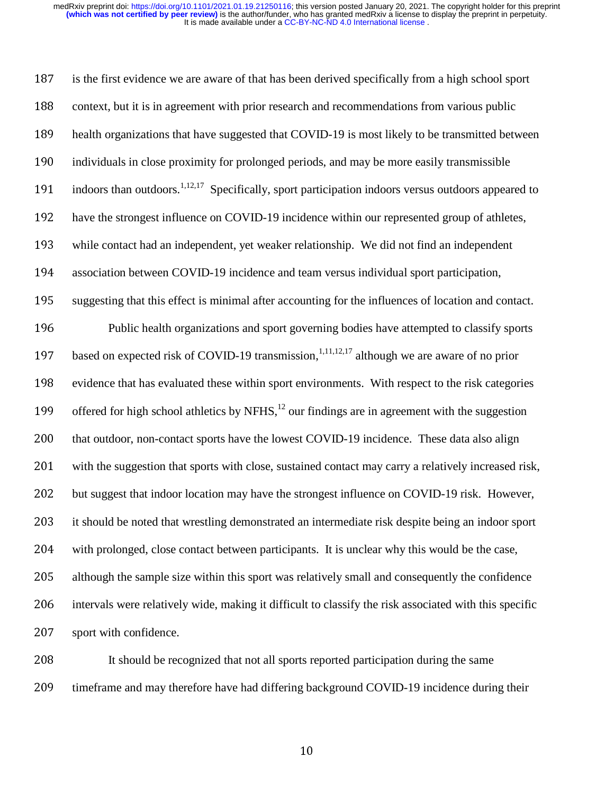i di i li k 187 is the first evidence we are aware of that has been derived specifically from a high school sport<br>
188 context, but it is in agreement with prior research and recommendations from various public<br>
189 health organizati context, but it is in agreement with prior research and recommendations from various public<br>
189 health organizations that have suggested that COVID-19 is most likely to be transmitted betv<br>
1910 individuals in close prox 189 health organizations that have suggested that COVID-19 is most likely to be transmitted between<br>190 individuals in close proximity for prolonged periods, and may be more easily transmissible<br>191 indoors than outdoors. 190 individuals in close proximity for prolonged periods, and may be more easily transmissible<br>
191 indoors than outdoors.<sup>1,12,17</sup> Specifically, sport participation indoors versus outdoors appear<br>
192 have the strongest indoors than outdoors.<sup>1,12,17</sup> Specifically, sport participation indoors versus outdoors appeared to indoors than outdoors.<sup>11221</sup> Specifically, sport participation indoors versus outdoors appeared to<br>
192 have the strongest influence on COVID-19 incidence within our represented group of athletes,<br>
193 while contact had 2021 have the strongest influence on COVID-19 incidence within our represented group of athletes,<br>
2013 while contact had an independent, yet weaker relationship. We did not find an independent<br>
2014 association between C 193 while contact had an independent, yet weaker relationship. We did not find an independent 194 association between COVID-19 incidence and team versus individual sport participation,<br>
195 suggesting that this effect is minimal after accounting for the influences of location and c<br>
196 Public health organizations suggesting that this effect is minimal after accounting for the influences of location and contact.<br>
Public health organizations and sport governing bodies have attempted to classify sports<br>
based on expected risk of COVID Public health organizations and sport governing bodies have attempted to classify sports<br>197 based on expected risk of COVID-19 transmission,<sup>1,11,12,17</sup> although we are aware of no prior<br>198 evidence that has evaluated th based on expected risk of COVID-19 transmission,  $1,11,12,17$  although we are aware of no prior based on expected risk of COVID-19 transmission,<sup>1,11,2</sup> although we are aware of no prior<br>198 evidence that has evaluated these within sport environments. With respect to the risk categor<br>199 offered for high school athle evidence that has evaluated these within sport environments. With respect to the risk categories<br>199 offered for high school athletics by NFHS,<sup>12</sup> our findings are in agreement with the suggestion<br>100 that outdoor, non-co offered for high school athletics by NFHS,  $^{12}$  our findings are in agreement with the suggestion offered for high school athletics by NFHS,<sup>12</sup> our findings are in agreement with the suggestion<br>200 that outdoor, non-contact sports have the lowest COVID-19 incidence. These data also align<br>201 with the suggestion that s 200 that outdoor, non-contact sports have the lowest COVID-19 incidence. These data also align<br>201 with the suggest that indoor location may have the strongest influence on COVID-19 risk. Howev<br>202 but suggest that indoor with the suggestion that sports with close, sustained contact may carry a relatively increased risk,<br>
202 but suggest that indoor location may have the strongest influence on COVID-19 risk. However,<br>
203 it should be noted 202 but suggest that indoor location may have the strongest influence on COVID-19 risk. However,<br>
2023 it should be noted that wrestling demonstrated an intermediate risk despite being an indoor sport<br>
2014 with prolonged, 203 it should be noted that wrestling demonstrated an intermediate risk despite being an indoor sport<br>
204 with prolonged, close contact between participants. It is unclear why this would be the case,<br>
205 although the sam 204 with prolonged, close contact between participants. It is unclear why this would be the case,<br>
205 although the sample size within this sport was relatively small and consequently the confiden<br>
206 intervals were relat 205 although the sample size within this sport was relatively small and consequently the confidence<br>
206 intervals were relatively wide, making it difficult to classify the risk associated with this specific<br>
207 sport wit 206 intervals were relatively wide, making it difficult to classify the risk associated with this specific<br>207 sport with confidence.<br>208 It should be recognized that not all sports reported participation during the same<br>2 207 sport with confidence.<br>208 It should be rec<br>209 timeframe and may the

208 It should be recognized that not all sports reported participation during the same<br>209 time<br>frame and may therefore have had differing background COVID-19 incidence during<br>209 209 timeframe and may therefore have had differing background COVID-19 incidence during their<br>10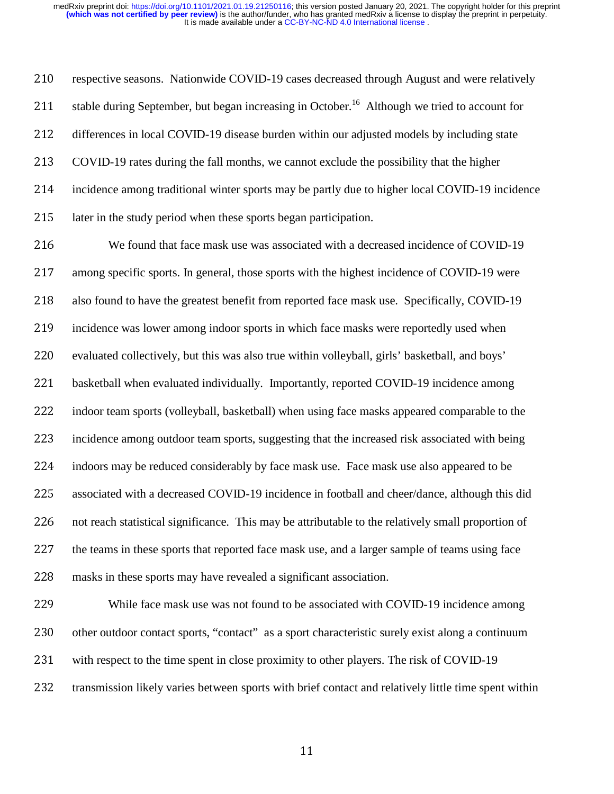1 s ( i l a s i l respective seasons. Nationwide COVID-19 cases decreased through August and were relatively<br>
211 stable during September, but began increasing in October.<sup>16</sup> Although we tried to account for<br>
212 differences in local COVID stable during September, but began increasing in October.<sup>16</sup> Although we tried to account for

211 stable during September, but began increasing in October.<sup>16</sup> Although we tried to account for<br>212 differences in local COVID-19 disease burden within our adjusted models by including state<br>213 COVID-19 rates during th 212 differences in local COVID-19 disease burden within our adjusted models by including state<br>213 COVID-19 rates during the fall months, we cannot exclude the possibility that the higher<br>214 incidence among traditional wi 213 COVID-19 rates during the fall months, we cannot exclude the possibility that the higher<br>
214 incidence among traditional winter sports may be partly due to higher local COVID-19 in<br>
215 later in the study period when incidence among traditional winter sports may be partly due to higher local COVID-19 incidence<br>215 later in the study period when these sports began participation.<br>216 We found that face mask use was associated with a decr 215 later in the study period when these sports began participation.<br>
216 We found that face mask use was associated with a decr<br>
217 among specific sports. In general, those sports with the highest<br>
218 also found to have We found that face mask use was associated with a decreased incidence of COVID-19<br>
217 among specific sports. In general, those sports with the highest incidence of COVID-19 were<br>
218 also found to have the greatest benefi 217 among specific sports. In general, those sports with the highest incidence of COVID-19 were<br>
218 also found to have the greatest benefit from reported face mask use. Specifically, COVID-19<br>
219 incidence was lower amon also found to have the greatest benefit from reported face mask use. Specifically, COVID-19<br>
incidence was lower among indoor sports in which face masks were reportedly used when<br>
evaluated collectively, but this was also incidence was lower among indoor sports in which face masks were reportedly used when<br>
220 evaluated collectively, but this was also true within volleyball, girls' basketball, and boys'<br>
221 basketball when evaluated indiv evaluated collectively, but this was also true within volleyball, girls' basketball, and boys'<br>
221 basketball when evaluated individually. Importantly, reported COVID-19 incidence amon<br>
222 indoor team sports (volleyball, 222 basketball when evaluated individually. Importantly, reported COVID-19 incidence among<br>
222 incidence among outdoor team sports, suggesting that the increased risk associated with bein<br>
224 incidence among outdoor team indoor team sports (volleyball, basketball) when using face masks appeared comparable to the<br>
223 incidence among outdoor team sports, suggesting that the increased risk associated with being<br>
224 indoors may be reduced co incidence among outdoor team sports, suggesting that the increased risk associated with being<br>
224 indoors may be reduced considerably by face mask use. Face mask use also appeared to be<br>
225 associated with a decreased CO 224 indoors may be reduced considerably by face mask use. Face mask use also appeared to be associated with a decreased COVID-19 incidence in football and cheer/dance, although this not reach statistical significance. This associated with a decreased COVID-19 incidence in football and cheer/dance, although this did<br>
226 and each statistical significance. This may be attributable to the relatively small proportion of<br>
227 the teams in these s

226 not reach statistical significance. This may be attributable to the relatively small proportion of<br>227 the teams in these sports that reported face mask use, and a larger sample of teams using face<br>228 masks in these s 227 the teams in these sports that reported face mask use, and a larger sample of teams using face<br>
228 masks in these sports may have revealed a significant association.<br>
229 While face mask use was not found to be associ 228 masks in these sports may have revealed a significant association.<br>
229 While face mask use was not found to be associated with C<br>
230 other outdoor contact sports, "contact" as a sport characteristic sure<br>
231 with re 229 While face mask use was not found to be associated with COVID-19 incidence among<br>230 other outdoor contact sports, "contact" as a sport characteristic surely exist along a continuum<br>231 with respect to the time spent i 230 other outdoor contact sports, "contact" as a sport characteristic surely exist along a continuum<br>231 with respect to the time spent in close proximity to other players. The risk of COVID-19<br>232 transmission likely vari 231 with respect to the time spent in close proximity to other players. The risk of COVID-19<br>232 transmission likely varies between sports with brief contact and relatively little time spen<br>232 11 232 transmission likely varies between sports with brief contact and relatively little time spent within<br>11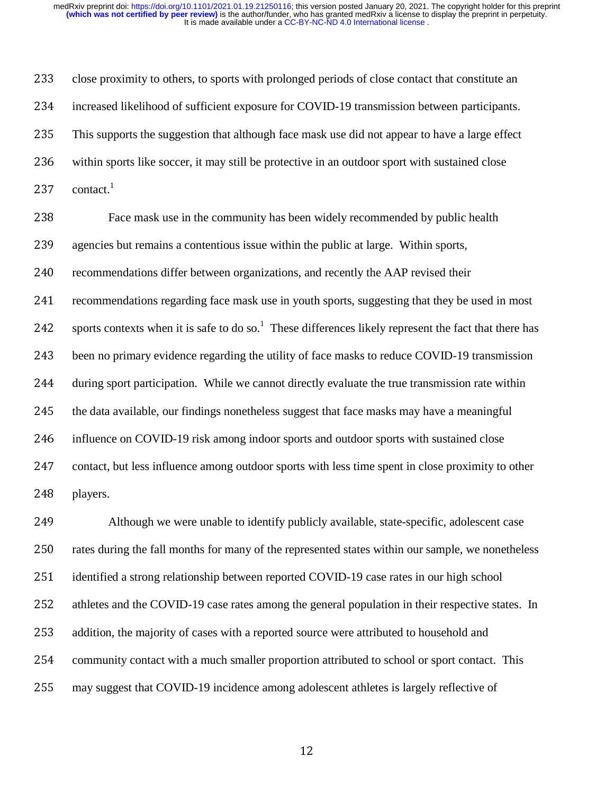$\begin{array}{ccc} 1 & r & q & q \end{array}$  if  $\begin{array}{ccc} 1 & r & q & q \end{array}$ close proximity to others, to sports with prolonged periods of close contact that constitute an<br>
234 increased likelihood of sufficient exposure for COVID-19 transmission between participants.<br>
235 This supports the sugges increased likelihood of sufficient exposure for COVID-19 transmission between participants.<br>
235 This supports the suggestion that although face mask use did not appear to have a large effect<br>
236 within sports like soccer 235 This supports the suggestion that although face mask use did not appear to have a large effect<br>
236 within sports like soccer, it may still be protective in an outdoor sport with sustained close<br>
237 contact.<sup>1</sup><br>
238 within sports like soccer, it may still be protective in an outdoor sport with sustained close<br>
237 contact.<sup>1</sup><br>
238 Face mask use in the community has been widely recommended by public health<br>
239 accommendations differ b contact. $1$ 238<br>239<br>240<br>241<br>242<br>243<br>244<br>245<br>247 Face mask use in the community has been widely recommended by public health<br>agencies but remains a contentious issue within the public at large. Within sports,<br>recommendations differ between organizations, and recently th agencies but remains a contentious issue within the public at large. Within sports,<br>recommendations differ between organizations, and recently the AAP revised their<br>recommendations regarding face mask use in youth sports, recommendations differ between organizations, and recently the AAP revised their<br>
241 recommendations regarding face mask use in youth sports, suggesting that they be t<br>
242 sports contexts when it is safe to do so.<sup>1</sup> The recommendations regarding face mask use in youth sports, suggesting that they be used in most<br>
242 sports contexts when it is safe to do so.<sup>1</sup> These differences likely represent the fact that there ha<br>
243 been no primary sports contexts when it is safe to do so.<sup>1</sup> These differences likely represent the fact that there has 242 sports contexts when it is safe to do so.<sup>1</sup> These differences likely represent the fact that there has<br>243 been no primary evidence regarding the utility of face masks to reduce COVID-19 transmission<br>244 during sport 243 been no primary evidence regarding the utility of face masks to reduce COVID-19 transmission<br>244 during sport participation. While we cannot directly evaluate the true transmission rate within<br>245 the data available, o during sport participation. While we cannot directly evaluate the true transmission rate within<br>245 the data available, our findings nonetheless suggest that face masks may have a meaningful<br>246 influence on COVID-19 risk

245 the data available, our findings nonetheless suggest that face masks may have a meaningful<br>246 influence on COVID-19 risk among indoor sports and outdoor sports with sustained close<br>247 contact, but less influence amon influence on COVID-19 risk among indoor sports and outdoor sports with sustained close<br>
247 contact, but less influence among outdoor sports with less time spent in close proximity to<br>
248 players.<br>
249 Although we were un contact, but less influence among outdoor sports with less time spent in close proximity to other<br>
249 although we were unable to identify publicly available, state-specific, adolescent case<br>
250 rates during the fall mont 248 players.<br>
249 *A*<br>
250 rates dur<br>
251 identifie<br>
252 athletes<br>
253 addition.<br>
254 commun<br>
255 may sug 249 Although we were unable to identify publicly available, state-specific, adolescent case<br>
250 rates during the fall months for many of the represented states within our sample, we nonethele<br>
251 identified a strong rela 250 rates during the fall months for many of the represented states within our sample, we nonetheless<br>
251 identified a strong relationship between reported COVID-19 case rates in our high school<br>
252 athletes and the COVI 251 identified a strong relationship between reported COVID-19 case rates in our high school<br>252 athletes and the COVID-19 case rates among the general population in their respective sta<br>253 addition, the majority of cases 252 athletes and the COVID-19 case rates among the general population in their respective states. In addition, the majority of cases with a reported source were attributed to household and community contact with a much sma 253 addition, the majority of cases with a reported source were attributed to household and<br>254 community contact with a much smaller proportion attributed to school or sport contact<br>255 may suggest that COVID-19 incidence 254 community contact with a much smaller proportion attributed to school or sport contact. This<br>255 may suggest that COVID-19 incidence among adolescent athletes is largely reflective of<br>25 255 may suggest that COVID-19 incidence among adolescent athletes is largely reflective of<br>12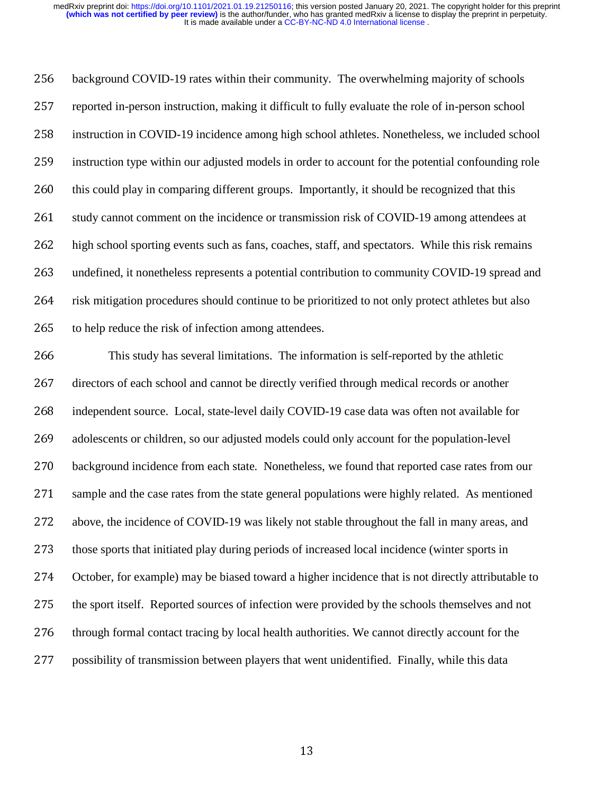lt i i ts lt tt background COVID-19 rates within their community. The overwhelming majority of schools<br>
257 reported in-person instruction, making it difficult to fully evaluate the role of in-person school<br>
258 instruction in COVID-19 in reported in-person instruction, making it difficult to fully evaluate the role of in-person school<br>258 instruction in COVID-19 incidence among high school athletes. Nonetheless, we included sch<br>269 instruction type within instruction in COVID-19 incidence among high school athletes. Nonetheless, we included school<br>
259 instruction type within our adjusted models in order to account for the potential confounding role<br>
260 this could play in instruction type within our adjusted models in order to account for the potential confounding role<br>
260 this could play in comparing different groups. Importantly, it should be recognized that this<br>
261 study cannot commen this could play in comparing different groups. Importantly, it should be recognized that this<br>261 study cannot comment on the incidence or transmission risk of COVID-19 among attendees<br>262 high school sporting events such

261 study cannot comment on the incidence or transmission risk of COVID-19 among attendees at<br>262 high school sporting events such as fans, coaches, staff, and spectators. While this risk remains<br>263 undefined, it nonethel 262 high school sporting events such as fans, coaches, staff, and spectators. While this risk remains<br>263 undefined, it nonetheless represents a potential contribution to community COVID-19 spread an<br>264 risk mitigation pr undefined, it nonetheless represents a potential contribution to community COVID-19 spread and<br>
264 risk mitigation procedures should continue to be prioritized to not only protect athletes but also<br>
265 to help reduce the risk mitigation procedures should continue to be prioritized to not only protect athletes but also<br>
265 to help reduce the risk of infection among attendees.<br>
266 This study has several limitations. The information is self to help reduce the risk of infection among attendees.<br>
266 This study has several limitations. The inform<br>
267 directors of each school and cannot be directly verific<br>
268 independent source. Local, state-level daily COVID 266 This study has several limitations. The information is self-reported by the athletic<br>266 directors of each school and cannot be directly verified through medical records or another<br>268 independent source. Local, statedirectors of each school and cannot be directly verified through medical records or another<br>
268 independent source. Local, state-level daily COVID-19 case data was often not available fe<br>
269 adolescents or children, so o independent source. Local, state-level daily COVID-19 case data was often not available for adolescents or children, so our adjusted models could only account for the population-level<br>270 background incidence from each sta adolescents or children, so our adjusted models could only account for the population-level<br>270 background incidence from each state. Nonetheless, we found that reported case rates from<br>3271 sample and the case rates from background incidence from each state. Nonetheless, we found that reported case rates from our sample and the case rates from the state general populations were highly related. As mentioned above, the incidence of COVID-19 271 sample and the case rates from the state general populations were highly related. As mentioned<br>272 above, the incidence of COVID-19 was likely not stable throughout the fall in many areas, and<br>273 those sports that ini 272 above, the incidence of COVID-19 was likely not stable throughout the fall in many areas, and<br>273 those sports that initiated play during periods of increased local incidence (winter sports in<br>274 October, for example) 273 those sports that initiated play during periods of increased local incidence (winter sports in<br>274 October, for example) may be biased toward a higher incidence that is not directly attributa<br>275 the sport itself. Repo 274 October, for example) may be biased toward a higher incidence that is not directly attributable to<br>
275 the sport itself. Reported sources of infection were provided by the schools themselves and not<br>
276 through forma 275 the sport itself. Reported sources of infection were provided by the schools themselves and not<br>276 through formal contact tracing by local health authorities. We cannot directly account for the<br>277 possibility of tran 276 through formal contact tracing by local health authorities. We cannot directly account for the<br>277 possibility of transmission between players that went unidentified. Finally, while this data<br>277 and the distance of th 277 possibility of transmission between players that went unidentified. Finally, while this data<br>
277 and this data<br>
277 and the state of the state of the state of the state of the state of the state of the state of the st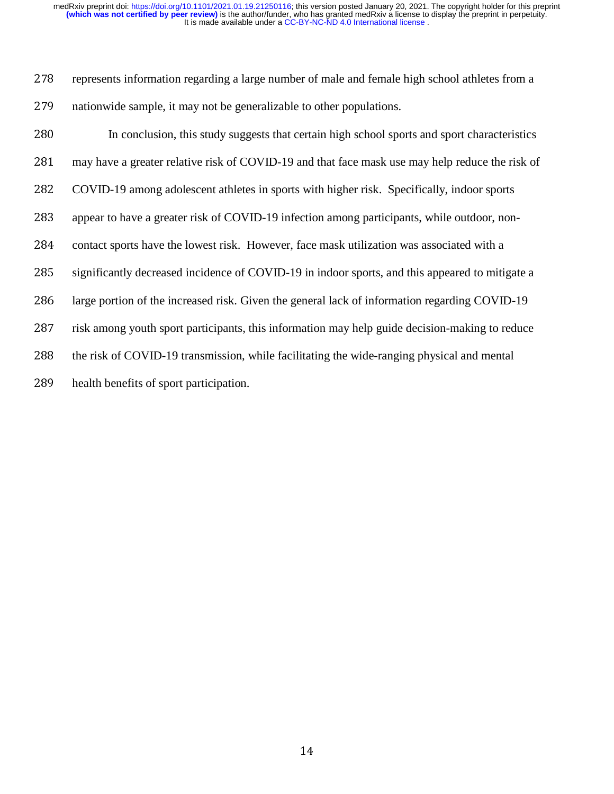| 278 | represents information regarding a large number of male and female high school athletes from a  |
|-----|-------------------------------------------------------------------------------------------------|
| 279 | nationwide sample, it may not be generalizable to other populations.                            |
| 280 | In conclusion, this study suggests that certain high school sports and sport characteristics    |
| 281 | may have a greater relative risk of COVID-19 and that face mask use may help reduce the risk of |
| 282 | COVID-19 among adolescent athletes in sports with higher risk. Specifically, indoor sports      |
| 283 | appear to have a greater risk of COVID-19 infection among participants, while outdoor, non-     |
| 284 | contact sports have the lowest risk. However, face mask utilization was associated with a       |
| 285 | significantly decreased incidence of COVID-19 in indoor sports, and this appeared to mitigate a |
| 286 | large portion of the increased risk. Given the general lack of information regarding COVID-19   |
| 287 | risk among youth sport participants, this information may help guide decision-making to reduce  |
| 288 | the risk of COVID-19 transmission, while facilitating the wide-ranging physical and mental      |
| 289 | health benefits of sport participation.                                                         |
|     |                                                                                                 |
|     |                                                                                                 |
|     |                                                                                                 |
|     |                                                                                                 |
|     |                                                                                                 |
|     |                                                                                                 |
|     |                                                                                                 |
|     |                                                                                                 |
|     |                                                                                                 |
|     |                                                                                                 |
|     |                                                                                                 |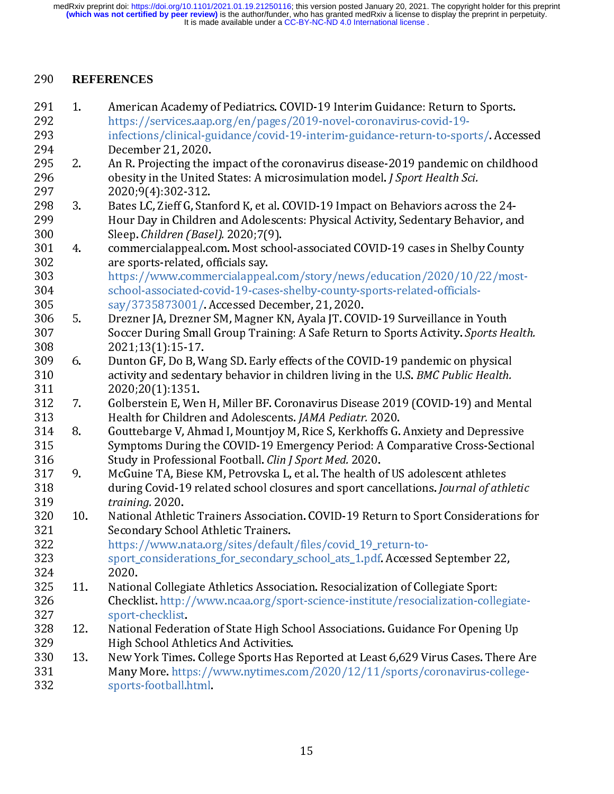332 sports-football.html.

 $\begin{bmatrix} 1 & 1 & 1 \\ 1 & 1 & 1 \\ 1 & 1 & 1 \\ 1 & 1 & 1 \\ 1 & 1 & 1 \\ 1 & 1 & 1 \\ 1 & 1 & 1 \\ 1 & 1 & 1 \\ 1 & 1 & 1 \\ 1 & 1 & 1 \\ 1 & 1 & 1 \\ 1 & 1 & 1 \\ 1 & 1 & 1 \\ 1 & 1 & 1 \\ 1 & 1 & 1 \\ 1 & 1 & 1 \\ 1 & 1 & 1 \\ 1 & 1 & 1 \\ 1 & 1 & 1 \\ 1 & 1 & 1 \\ 1 & 1 & 1 \\ 1 & 1 & 1 & 1 \\ 1 & 1 & 1 & 1 \\$ 290 **REFERENCES**<br>
291 1. American<br>
292 https://s<br>
infections<br>
293 infections<br>
295 2. An R. Pro<br>
296 obesity ir<br>
297 2020;9(4<br>
298 3. Bates LC,<br>
299 3. Bates LC,<br>
299 Hour Day<br>
300 Sleep. Chi<br>
301 4. commerc<br>
are sport.<br>
20 291 1. American Academy of Pediatrics. COVID-19 Interim Guidance: Return to Sports. 293<br>
infections/clinical-guidance/covid-19-interim-guidance-return-to-spo<br>
294<br>
2020<br>
295<br>
2. An R. Projecting the impact of the coronavirus disease-2019 pandemic<br>
295<br>
2. Bats LC, Zieff G, Stanford K, et al. COVID-19 Impa 294 December 21, 2020.<br>
295 an R. Projecting the impact of the coronavirus disease-2019 pandemic on childhood<br>
296 obesity in the United States: A microsimulation model. *J Sport Health Sci.*<br>
2020:91(4):302-312.<br>
2020:91( 295 2. An R. Projecting the i<br>
296 obesity in the United<br>
297 2020.9(4):302-312.<br>
298 3. Bates LC, Zieff G, Star<br>
299 Hour Day in Childrer<br>
300 Sleep. *Children (Base*<br>
301 4. commercialappeal.cc<br>
are sports-related, of<br> 206<br>
296 0 obesity in the United States: A microsimulation model. J Sport Health Sci.<br>
298 3. Bates LC, Zieff G, Stanford K, et al. COVID-19 Impact on Behaviors across the 24-<br>
299 Bates LC, Zieff G, Stanford K, et al. COV 2021, 13(1):15-17.<br>
2020,9(4):302-312.<br>
2020,9(4):302-312.<br>
2020,9(4):302-312.<br>
Bates LC, Zieff G, Stanford K, et al. COVID-19 Impact on Behaviors across<br>
10001 Day in Children and Adolescents: Physical Activity, Sedentary 298 3. Bates LC, Zieff G, Star<br>
299 Hour Day in Children<br>
300 Sleep. *Children (Base*<br>
301 4. commercialappeal.commercialappeal.commercialappeal.com<br>
303 https://www.comm<br>
304 school-associated-commercialappeal.com<br>
305 sa 299 Hour Day in Children and Adolescents: Physical Activity, Sedentary Behavior, an<br>
2020<br>
2020. Children (Basel). 2020;7(9).<br>
2021 are sports-related, officials sy.<br>
2021 are sports-related, officials sy.<br>
2022 are sport 300<br>
299 Sleep. Children (Basel). 2020;7(9).<br>
2011<br>
2011<br>
2012<br>
2012<br>
2013<br>
2013<br>
2013<br>
2013<br>
2013<br>
2013<br>
2014<br>
2015: related, officials say,<br>
2015<br>
2015<br>
2015<br>
2015<br>
2020, Activity, Accessed December, 21, 2020.<br>
2015<br>
20 300<br>
300 Sueep: Camieral (Basel). 2020;7(9).<br>
300 are sports-related, officials say.<br>
302 are sports-related, officials say.<br>
303 https://www.commercialappeal.com<br>
304 school-associated-covid-19-cases-<br>
305 5. Drezner JA, 302 are sports-related, officials say.<br>
303 https://www.commercialappeal.com/story/news/education/2020/10/22/most<br>
304 school-associated-covid-19-cases-shelby-county-sports-related-officials-<br>
305 say/3755873001/. Accesse 303 https://www.commercialappea<br>
304 school-associated-covid-19-case<br>
305 say/3735873001/. Accessed De<br>
306 5. Drezner JA, Drezner SM, Magnei<br>
307 Soccer During Small Group Trai<br>
308 2021;13(1):15-17.<br>
309 6. Dunton GF, Do 323 sport\_considerations\_for\_secondary\_school\_ats\_1.pdf. Accessed September 22,<br>324 2020. 325 11. National Collegiate Athletics Association. Resocialization of Collegiate Sport: 306 5. Drezner JA, Drezner SM, Magner KN, Ayala JT. COV<br>
307 Soccer During Small Group Training: A Safe Returr<br>
2021;13(1):15-17.<br>
309 6. Dunton GF, Do B, Wang SD. Early effects of the COV<br>
activity and sedentary behavior 307 Soccer During Small Group Training: A Safe Return to Sports Activity. Sports He<br>
2021;13(1):15-17.<br>
2020:11:13(1):15-17.<br>
2020:20(1):1351.<br>
2020:20(1):1351.<br>
2020:20(1):1351.<br>
2020:20(1):1351.<br>
2020:20(1):1351.<br>
2020:2 308<br>
2021;13(1):15-17.<br>
2022;13(1):15-17.<br>
2022;13(1):15-17.<br>
2022;13(1):15-17.<br>
2020;20(1):1355.1.<br>
2020;20(1):1355.1.<br>
2020;20(1):1355.1.<br>
2020;20(1):1355.1.<br>
Golberstein E, Wen H, Miller BF. Coronavirus Disease 2019 (CO 309 6. Dunton GF, Do B, W<br>
310 activity and sedent<br>
311 2020;20(1):1351.<br>
312 7. Golberstein E, Wen<br>
313 Health for Children<br>
314 8. Gouttebarge V, Ahn<br>
315 Symptoms During t<br>
316 Study in Profession<br>
317 9. McGuine TA, Bi 310 activity and sedentary behavior in children living in the U.S. *BMC Public Health.*<br>
2020;20(1):1351.<br>
311 7. Golberstein E, Wen H, Miller BF. Coronavirus Disease 2019 (COVID-19) and Mer<br>
313 Health for Children and Ad 311 activity and sedentary behavior in children living in the U.S. BMC Fability and Merical State the Fig. Correlation and Adelescents: *JAMA Pediatr*. 2020.<br>
311 activity and Adelescents: *JAMA Pediatr*. 2020.<br>
314 8. Cou 312 7. Golberstein E, Wer<br>
312 7. Golberstein E, Wer<br>
313 Health for Childrer<br>
314 8. Gouttebarge V, Ah:<br>
315 Symptoms During<br>
316 Study in Professio:<br>
317 9. McGuine TA, Biese<br>
4 during Covid-19 re<br>
319 *training.* 2020.<br> 313 Health for Children and Adolescents. JAMA Pediatr. 2020.<br>
313 Health for Children and I, Mountoy M, Rice S, Kerkhoffs G. Anxiety and Depressive<br>
315 Gouttebarge V, Ahmad I, Mountoy M, Rice S, Kerkhoffs G. Anxiety and D 314 8 Gouttebarge V, Ahmad I, Mountjoy M, Rice S, Kerkhoffs G.<br>
314 8 Gouttebarge V, Ahmad I, Mountjoy M, Rice S, Kerkhoffs G.<br>
315 Symptoms During the COVID-19 Emergency Period: A Co<br>
316 during Covid-19 related school cl 315 Symptoms During the COVID-19 Emergency Period: A Comparative Cross-Section.<br>
316 Symptoms During IRoothall. *Clin J Sport Med.* 2020.<br>
317 9. McGuine TA, Biese KM, Petrovska L, et al. The health of US adolescent athle 316 Study in Professional Football. *Clin J Sport Med.* 2020.<br>
317 9. McGuine TA, Bless KM, Petrovska L, et al. The health of US adolescent athletes<br>
318 during Covid-19 related school closures and sport cancellations. *J* 317 9. McGuine TA, Biese KM, Petrovska L, et al. The health a<br>
317 9. McGuine TA, Biese KM, Petrovska L, et al. The health a<br>
during Covid-19 related school closures and sport can<br>
straining. 2020.<br>
320 10. National Athlet 318 during Covid-19 related school closures and sport cancellations. Journal of athletic training. 2020.<br>
321 Secondary School Athletic Trainers.<br>
322 Secondary School Athletic Trainers.<br>
322 Secondary School Athletic Tra 319 during Covid-19 related school closures and sport cancellations. Journal of athletic Trainers Association. COVID-19 Return to Sport Considerations for Secondary School Athletic Trainers.<br>
321 https://www.nata.org/sites 320 10. National Athlet<br>
321 Secondary School<br>
322 https://www.n<br>
sport\_considerations.com<br>
324 2020.<br>
325 11. National Colleg<br>
326 Checklist.http:<br>
327 sport-checklist.http:<br>
329 High School Atl<br>
331 Many More.htt<br>
331 Ma 321 Secondary School Athletic Trainers.<br>
322 tttps://www.nata.org/sites/default/files/covid\_19\_return-to-<br>
322 sport\_considerations\_for\_secondary\_school\_ats\_1.pdf. Accessed September 22,<br>
326 11. National Collegiate Athlet 322 https://www.nata.org/sites/default<br>323 sport\_considerations\_for\_secondary<br>324 2020.<br>325 11 National Collegiate Athletics Associa<br>326 checklist. http://www.ncaa.org/spo<br>327 sport-checklist.<br>329 High School Athletics And 324 2020.<br>
325 11. National Collegiate Athletics Association. Resocialization of Collegiate Sport:<br>
326 Checklist. http://www.ncaa.org/sport-science-institute/resocialization-collegi<br>
323 12. National Federation of State H 325 11. Natior<br>
326 Check<br>
327 sport-<br>
328 12. Natior<br>
329 High S<br>
330 13. New Y<br>
331 Many<br>
332 sports 326 Checklist.http://www.ncaa.org/sport-science-institute/resocialization-colle<br>
327 sport-checklist.<br>
328 12. National Federation of State High School Associations. Guidance For Opening<br>
329 High School Athletics And Acti 328 12. National Federa<br>329 High School Ath<br>330 13. New York Times<br>331 Many More. http<br>sports-football.l 329 High School Athletics And Activities.<br>
330 13. New York Times. College Sports Has Reported at Least 6,629 Virus Cases. There *Many More.* https://www.nytimes.com/2020/12/11/sports/coronavirus-college<br>
332 sports-footba 330 13. New York Times. College Sports Has<br>331 Many More. https://www.nytimes.cc<br>332 sports-football.html. 331 Many More. https://www.nytimes.com/2020/12/11/sports/coronavirus-college-<br>332 Many More. https://www.nytimes.com/2020/12/11/sports/coronavirus-college-<br>332 15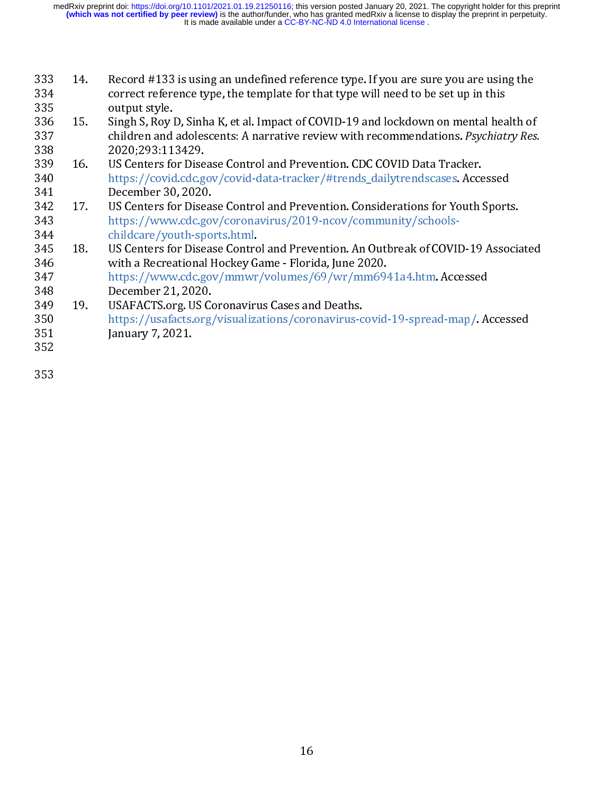- 333 14.
- 
- 
- 334 correct reference type, the template for that type will need to be set up in this<br>
335 output style.<br>
336 15. Singh S, Roy D. Sinha K, et al. Impact of COVID-19 and lockdown on mental health of<br>
children and adolescen 335 output style. Set up the template that type will need to the template for that the set up in this correct reference to the set up in that the and absolved to the set up in this correct reference to the set up in the se 336 15. Singh S, Roy 1<br>
337 children and<br>
338 2020;293:11<br>
339 16. US Centers fc<br>
340 https://covid<br>
341 December 30<br>
342 17. US Centers fc<br>
343 https://www<br>
343 https://www<br>
345 18. US Centers fc<br>
346 with a Recrea<br>
347 h 337 children and adolescents: A narrative review with recommendations. *Psychiatry Res.*<br>
338 16. US Centers for Disease Control and Prevention. CDC COVID Data Tracker.<br>
340 tures://covid.cdc.gov/covid-data-tracker/#trend 338 children and accounts: A narrative review with recommendations. *Figurets* 2020, 293:113429.<br>
337 16. US Centers for Disease Control and Prevention. CDC COVID Data Tracker.<br>
347 https://covid.dcd.gov/coronavirus/2019-n 339 16. US Centers for Dise<br>
340 https://covid.cdc.g<br>
341 December 30, 2020<br>
342 17. US Centers for Dise<br>
343 https://www.cdc.g<br>
344 childcare/youth-sp<br>
345 18. US Centers for Dise<br>
346 with a Recreational<br>
347 https://www 340 https://covid.cdc.gov/covid-data-tracker/#trends\_dailytrendscases. Acce<br>
2342 17. US Centers for Disease Control and Prevention. Considerations for Youth is<br>
342 https://www.cdc.gov/coronavirus/2019-ncov/community/sch 341 December 30, 2020.<br>
342 December 30, 2020.<br>
342 Https://www.cdc.gov/coronavirus/2019-ncov/community/schools-<br>
344 childcare/youth-sports.html.<br>
345 18. US Centers for Disease Control and Prevention. An Outbreak of COVI 342 17. US Centers for Disea<br>
343 https://www.cdc.gov<br>
344 childcare/youth-spo<br>
345 18. US Centers for Disea<br>
346 with a Recreational I<br>
347 https://www.cdc.gov<br>
348 December 21, 2020.<br>
350 19. USAFACTS.org. US Co<br>
350 htt 343 https://www.cdc.gov/coronavirus/2019-ncov/community/schools-<br>
344 thtps://www.cdc.gov/coronavirus/2019-ncov/community/schools-<br>
345 18. US Centers for Disease Control and Prevention. An Outbreak of COVID-19 Associa<br>
34
- 
- 
- 
- 345 18. US Centers for Disease Control<br>346 with a Recreational Hockey G<br>347 https://www.cdc.gov/mmwr<br>348 December 21, 2020.<br>349 19. USAFACTS.org. US Coronavirus<br>350 https://usafacts.org/visualiza<br>351 January 7, 2021.<br>352 346 with a Recreational Hockey Game - Florida, June 2020.<br>
18. Uttps://www.cdc.gov/mmwr/volumes/69/wr/mm6941a4.htm. Accessed<br>
18. December 21, 2020.<br>
19. USAFACTS.org. US Coronavirus Cases and Deaths.<br>
18. https://usafacts 347 https://www.cdc.gov/mmwr/volumes/69/wr/mm694<br>348 December 21, 2020.<br>349 December 21, 2020.<br>349 December 21, 2020.<br>551 Innuary 7, 2021.<br>352<br>353 348 December 21, 2020.<br>349 19. USAFACTS.org. US Coronavirus Cases and Deaths.<br>351 https://usafacts.org/visualizations/coronavirus-covid-19-spread-map/. A<br>352<br>353 349 19. USAFACTS.org. US Contracts.org, US Contracts.org, January 7, 2021.<br>352 January 7, 2021. 350 https://usafacts.org/visualizations/coronavirus-2351 January 7, 2021.<br>352<br>353 351 January 7, 2021.  $\frac{351}{352}$  January 7, 2021.  $352$ <br> $353$
- 

353<br>353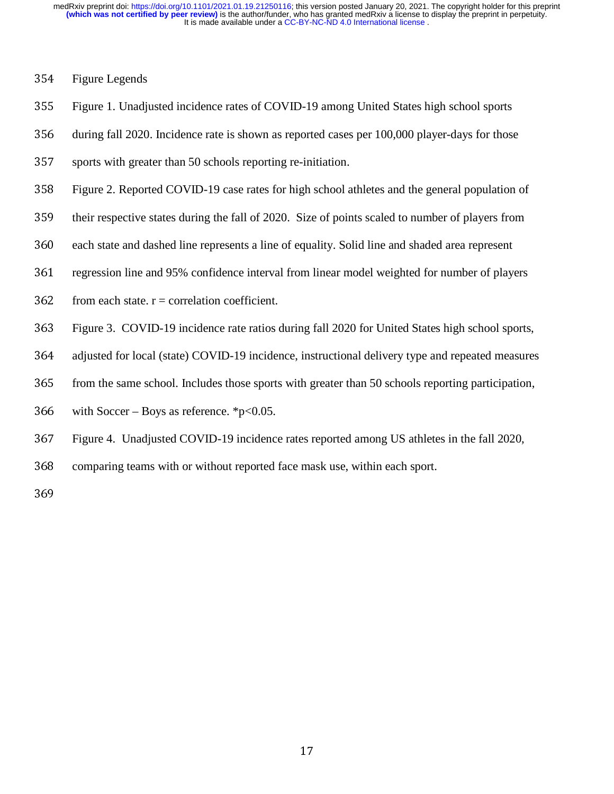- 
- 
- 1 1 2 3 1 4 6 1 1 1 1 1 1 1 2 8 7 1 1 1 2 8 1 2 8 7 1 2 8 7 2 8 7 2 8 7 2 8 7 2 8 7 2 8 7 2 8 7 2 8 7 2 8 7 2 354 Figure Legends<br>355 Figure 1. Unadju<br>356 during fall 2020<br>357 sports with great<br>358 Figure 2. Report<br>359 their respective :<br>360 each state and da<br>361 regression line a<br>362 from each state.<br>363 Figure 3. COVI<br>364 adjuste Figure 1. Unadjusted incidence rates of COVID-19 among United States high school sports<br>356 during fall 2020. Incidence rate is shown as reported cases per 100,000 player-days for those<br>357 sports with greater than 50 scho
- 
- 356 during fall 2020. Incidence rate is shown as reported cases per 100,000 player-days for those<br>357 sports with greater than 50 schools reporting re-initiation.<br>358 Figure 2. Reported COVID-19 case rates for high school
- 
- 
- 
- 
- 
- 
- 
- 
- 357 sports with greater than 50 schools reporting re-initiation.<br>358 Figure 2. Reported COVID-19 case rates for high school a<br>359 their respective states during the fall of 2020. Size of poin<br>360 each state and dashed lin 358 Figure 2. Reported COVID-19 case rates for high school athletes and the general population of<br>359 their respective states during the fall of 2020. Size of points scaled to number of players from<br>360 each state and das their respective states during the fall of 2020. Size of points scaled to number of players from<br>each state and dashed line represents a line of equality. Solid line and shaded area represent<br>regression line and 95% confid 360 each state and dashed line represents a line of equality. Solid line and shaded area represent regression line and 95% confidence interval from linear model weighted for number of play<br>362 from each state.  $r =$  correla regression line and 95% confidence interval from linear model weighted for number of players<br>
362 from each state. r = correlation coefficient.<br>
363 Figure 3. COVID-19 incidence rate ratios during fall 2020 for United Stat 362 from each state. r = correlation coefficient.<br>363 Figure 3. COVID-19 incidence rate ratios of<br>364 adjusted for local (state) COVID-19 incidence<br>365 from the same school. Includes those sports<br>366 with Soccer – Boys as Figure 3. COVID-19 incidence rate ratios during fall 2020 for United States high school sports,<br>adjusted for local (state) COVID-19 incidence, instructional delivery type and repeated measures<br>from the same school. Include adjusted for local (state) COVID-19 incidence, instructional delivery type and repeated measures<br>365 from the same school. Includes those sports with greater than 50 schools reporting participation,<br>366 with Soccer – Boys 365 from the same school. Includes those sports with greater than 50 schools reporting participation,<br>366 with Soccer – Boys as reference. \*p<0.05.<br>367 Figure 4. Unadjusted COVID-19 incidence rates reported among US athlet with Soccer – Boys as reference. \*p<0.05.<br>367 Figure 4. Unadjusted COVID-19 incidence<br>368 comparing teams with or without reported<br>369 367 Figure 4. Unadjusted COVID-19 incidence rates reported among US athletes in the fall 2020,<br>368 comparing teams with or without reported face mask use, within each sport.<br>369
- 368 comparing teams with or without reported face mask use, within each sport.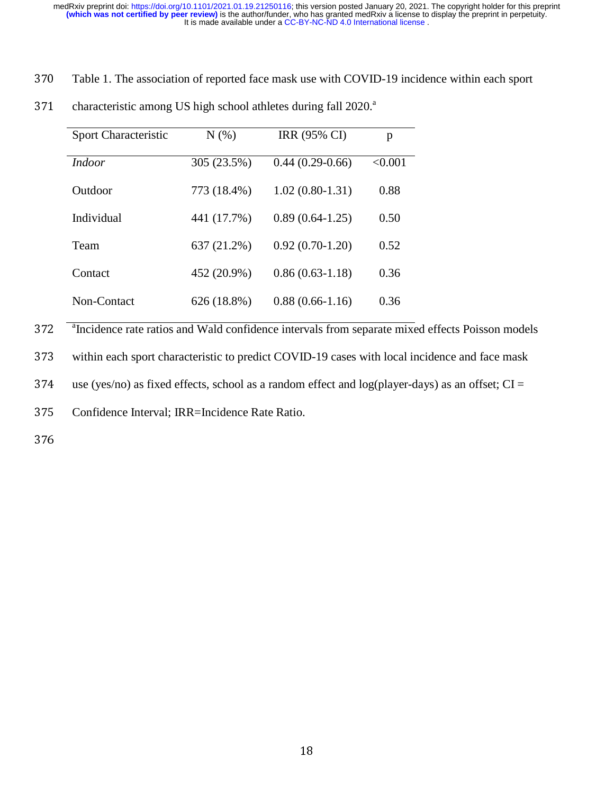| characteristic among US high school athletes during fall 2020. <sup>a</sup> |             |                   |              |
|-----------------------------------------------------------------------------|-------------|-------------------|--------------|
| Sport Characteristic                                                        | N(% )       | IRR (95% CI)      | $\mathbf{p}$ |
| <b>Indoor</b>                                                               | 305 (23.5%) | $0.44(0.29-0.66)$ | < 0.001      |
| Outdoor                                                                     | 773 (18.4%) | $1.02(0.80-1.31)$ | 0.88         |
| Individual                                                                  | 441 (17.7%) | $0.89(0.64-1.25)$ | 0.50         |
| Team                                                                        | 637 (21.2%) | $0.92(0.70-1.20)$ | 0.52         |
| Contact                                                                     | 452 (20.9%) | $0.86(0.63-1.18)$ | 0.36         |
| Non-Contact                                                                 | 626 (18.8%) | $0.88(0.66-1.16)$ | 0.36         |

372<br>373<br>374 <sup>a</sup>Incidence rate ratios and Wald confidence intervals from separate mixed effects Poisson models <sup>2</sup>Incidence rate ratios and Wald confidence intervals from separate mixed effects Poisson models<br>373 within each sport characteristic to predict COVID-19 cases with local incidence and face mask<br>374 use (yes/no) as fixed

373 within each sport characteristic to predict COVID-19 cases with local incidence and face mask<br>374 use (yes/no) as fixed effects, school as a random effect and log(player-days) as an offset; CI =<br>375 Confidence Interva

374 use (yes/no) as fixed effects, school as a random effect and log(player-days) as an offset;  $CI =$  375 Confidence Interval; IRR=Incidence Rate Ratio.

375 Confidence Interval; IRR=Incidence Rate Ratio.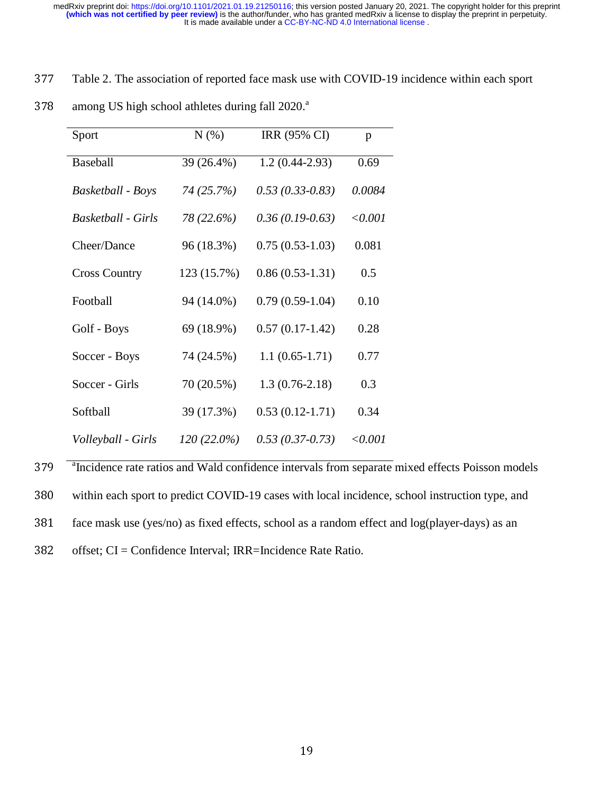| among US high school athletes during fall 2020. <sup>a</sup> |               |                    |         |
|--------------------------------------------------------------|---------------|--------------------|---------|
| Sport                                                        | N(%)          | IRR (95% CI)       | p       |
| Baseball                                                     | 39 (26.4%)    | $1.2(0.44 - 2.93)$ | 0.69    |
| Basketball - Boys                                            | 74 (25.7%)    | $0.53(0.33-0.83)$  | 0.0084  |
| <b>Basketball - Girls</b>                                    | 78 (22.6%)    | $0.36(0.19-0.63)$  | < 0.001 |
| Cheer/Dance                                                  | 96 (18.3%)    | $0.75(0.53-1.03)$  | 0.081   |
| <b>Cross Country</b>                                         | 123 (15.7%)   | $0.86(0.53-1.31)$  | 0.5     |
| Football                                                     | 94 (14.0%)    | $0.79(0.59-1.04)$  | 0.10    |
| Golf - Boys                                                  | 69 (18.9%)    | $0.57(0.17-1.42)$  | 0.28    |
| Soccer - Boys                                                | 74 (24.5%)    | $1.1(0.65-1.71)$   | 0.77    |
| Soccer - Girls                                               | 70 (20.5%)    | $1.3(0.76-2.18)$   | 0.3     |
| Softball                                                     | 39 (17.3%)    | $0.53(0.12-1.71)$  | 0.34    |
| Volleyball - Girls                                           | $120(22.0\%)$ | $0.53(0.37-0.73)$  | < 0.001 |

<sup>a</sup>Incidence rate ratios and Wald confidence intervals from separate mixed effects Poisson models <sup>2</sup>Incidence rate ratios and Wald confidence intervals from separate mixed effects Poisson models<br>3790 within each sport to predict COVID-19 cases with local incidence, school instruction type, and<br>381 face mask use (yes/ within each sport to predict COVID-19 cases with local incidence, school instruction type, and<br>381 face mask use (yes/no) as fixed effects, school as a random effect and log(player-days) as an<br>382 offset; CI = Confidence I 381 face mask use (yes/no) as fixed effects, school as a random effect and log(player-days) as an offset; CI = Confidence Interval; IRR=Incidence Rate Ratio.<br> $19$ 382 offset; CI = Confidence Interval; IRR=Incidence Rate Ratio.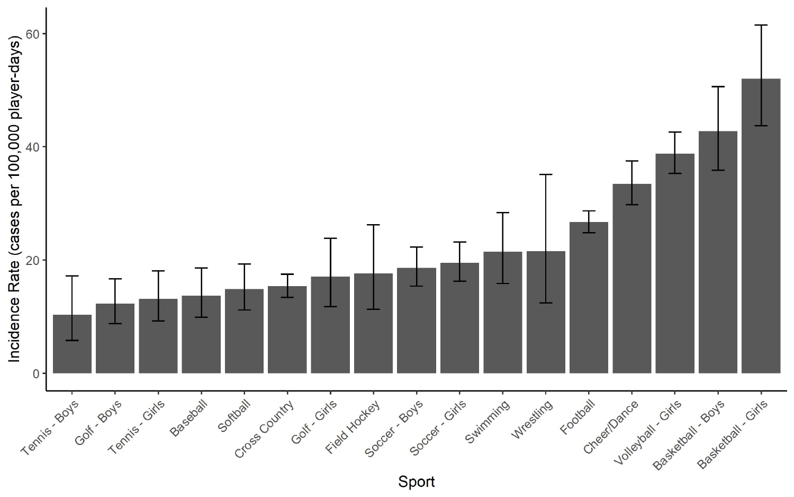

Sport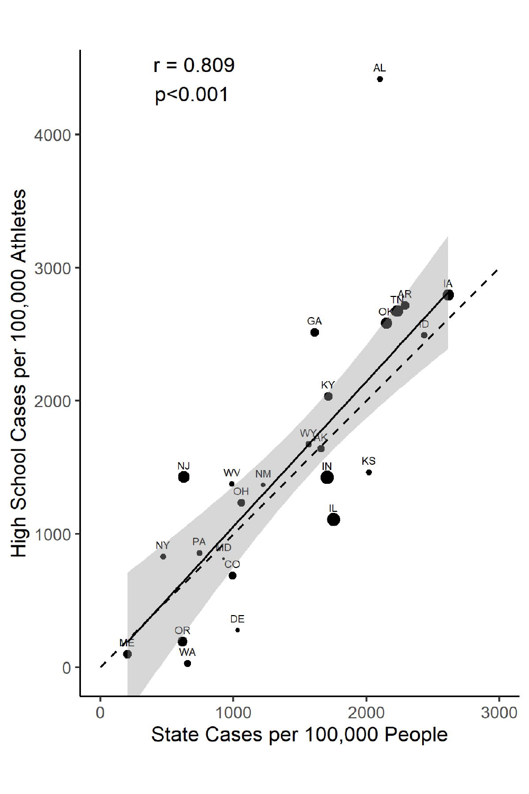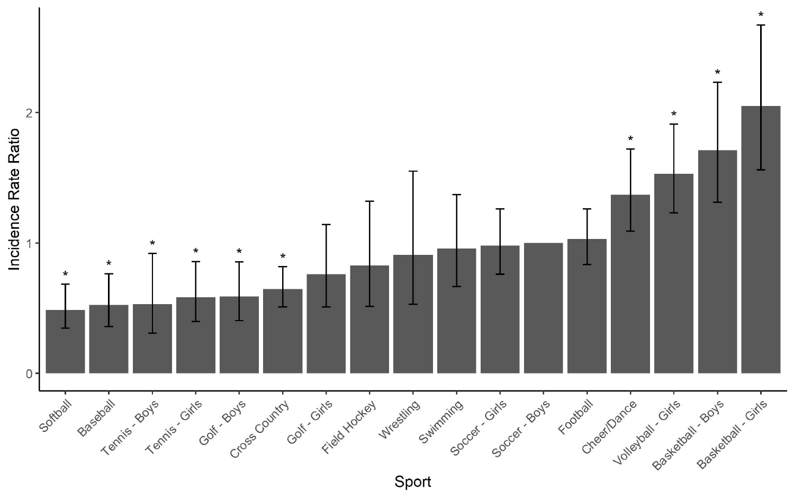

Sport